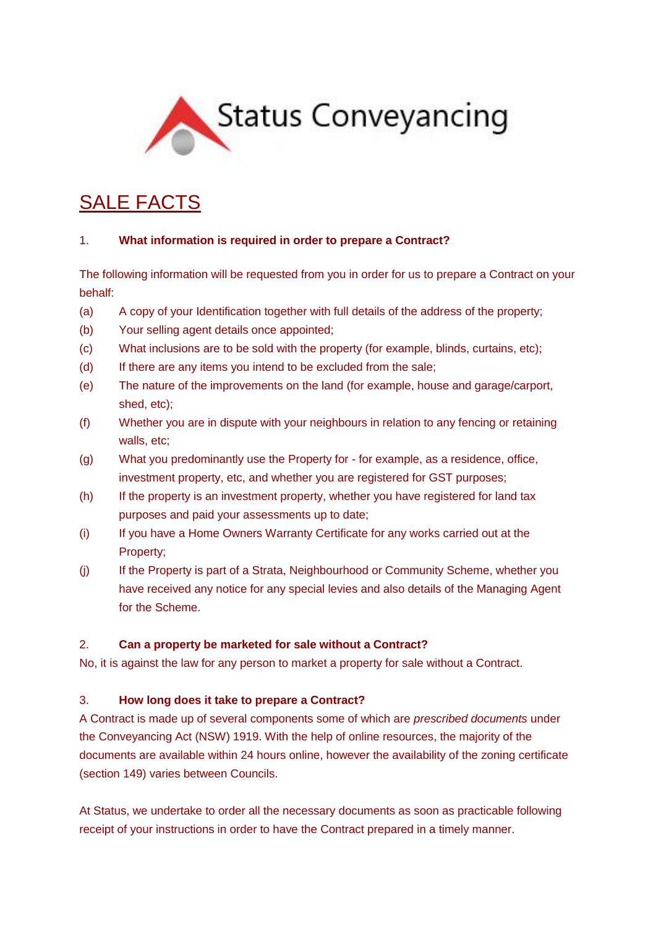

# SALE FACTS

#### 1. **What information is required in order to prepare a Contract?**

The following information will be requested from you in order for us to prepare a Contract on your behalf:

- (a) A copy of your Identification together with full details of the address of the property;
- (b) Your selling agent details once appointed;
- (c) What inclusions are to be sold with the property (for example, blinds, curtains, etc);
- (d) If there are any items you intend to be excluded from the sale;
- (e) The nature of the improvements on the land (for example, house and garage/carport, shed, etc);
- (f) Whether you are in dispute with your neighbours in relation to any fencing or retaining walls, etc:
- (g) What you predominantly use the Property for for example, as a residence, office, investment property, etc, and whether you are registered for GST purposes;
- (h) If the property is an investment property, whether you have registered for land tax purposes and paid your assessments up to date;
- (i) If you have a Home Owners Warranty Certificate for any works carried out at the Property;
- (j) If the Property is part of a Strata, Neighbourhood or Community Scheme, whether you have received any notice for any special levies and also details of the Managing Agent for the Scheme.

## 2. **Can a property be marketed for sale without a Contract?**

No, it is against the law for any person to market a property for sale without a Contract.

## 3. **How long does it take to prepare a Contract?**

A Contract is made up of several components some of which are *prescribed documents* under the Conveyancing Act (NSW) 1919. With the help of online resources, the majority of the documents are available within 24 hours online, however the availability of the zoning certificate (section 149) varies between Councils.

At Status, we undertake to order all the necessary documents as soon as practicable following receipt of your instructions in order to have the Contract prepared in a timely manner.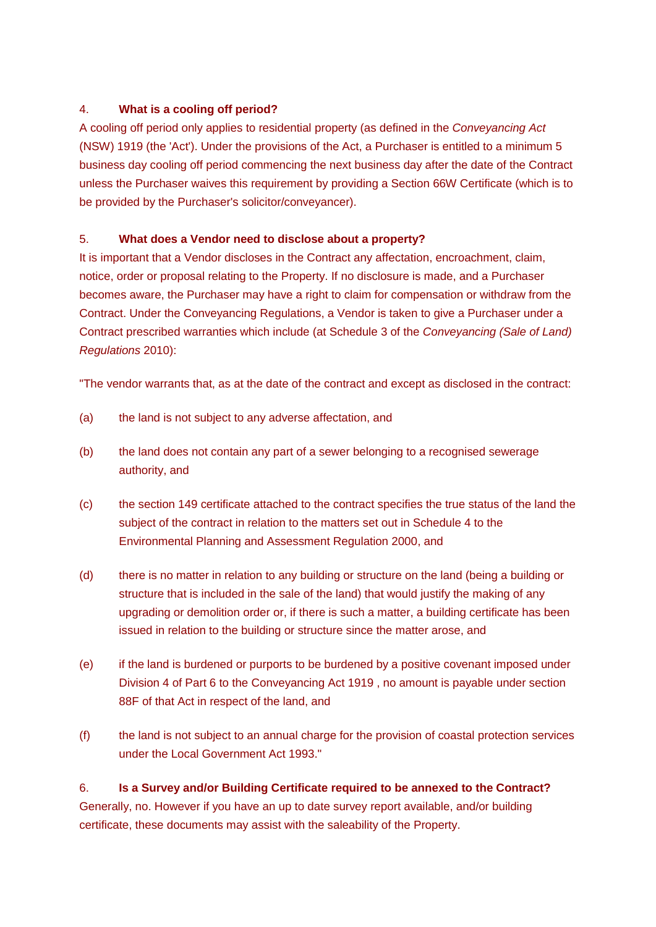## 4. **What is a cooling off period?**

A cooling off period only applies to residential property (as defined in the *Conveyancing Act* (NSW) 1919 (the 'Act'). Under the provisions of the Act, a Purchaser is entitled to a minimum 5 business day cooling off period commencing the next business day after the date of the Contract unless the Purchaser waives this requirement by providing a Section 66W Certificate (which is to be provided by the Purchaser's solicitor/conveyancer).

## 5. **What does a Vendor need to disclose about a property?**

It is important that a Vendor discloses in the Contract any affectation, encroachment, claim, notice, order or proposal relating to the Property. If no disclosure is made, and a Purchaser becomes aware, the Purchaser may have a right to claim for compensation or withdraw from the Contract. Under the Conveyancing Regulations, a Vendor is taken to give a Purchaser under a Contract prescribed warranties which include (at Schedule 3 of the *Conveyancing (Sale of Land) Regulations* 2010):

"The vendor warrants that, as at the date of the contract and except as disclosed in the contract:

- (a) the land is not subject to any adverse affectation, and
- (b) the land does not contain any part of a sewer belonging to a recognised sewerage authority, and
- (c) the section 149 certificate attached to the contract specifies the true status of the land the subject of the contract in relation to the matters set out in Schedule 4 to the Environmental Planning and Assessment Regulation 2000, and
- (d) there is no matter in relation to any building or structure on the land (being a building or structure that is included in the sale of the land) that would justify the making of any upgrading or demolition order or, if there is such a matter, a building certificate has been issued in relation to the building or structure since the matter arose, and
- (e) if the land is burdened or purports to be burdened by a positive covenant imposed under Division 4 of Part 6 to the Conveyancing Act 1919 , no amount is payable under section 88F of that Act in respect of the land, and
- (f) the land is not subject to an annual charge for the provision of coastal protection services under the Local Government Act 1993."

## 6. **Is a Survey and/or Building Certificate required to be annexed to the Contract?**

Generally, no. However if you have an up to date survey report available, and/or building certificate, these documents may assist with the saleability of the Property.